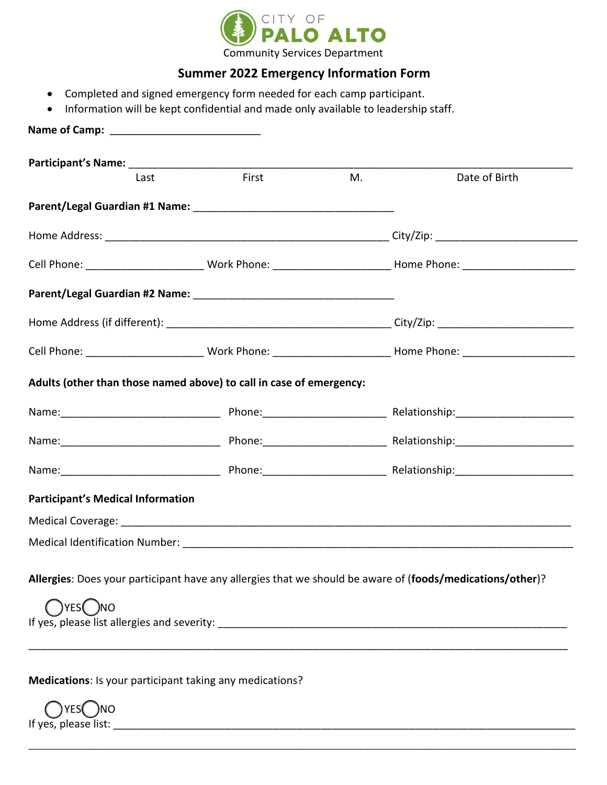

## **Summer 2022 Emergency Information Form**

- Completed and signed emergency form needed for each camp participant.
- Information will be kept confidential and made only available to leadership staff.

| Last                                     | First                                                               | M. | Date of Birth                                                                                                  |
|------------------------------------------|---------------------------------------------------------------------|----|----------------------------------------------------------------------------------------------------------------|
|                                          |                                                                     |    |                                                                                                                |
|                                          |                                                                     |    |                                                                                                                |
|                                          |                                                                     |    |                                                                                                                |
|                                          |                                                                     |    |                                                                                                                |
|                                          |                                                                     |    |                                                                                                                |
|                                          |                                                                     |    | Cell Phone: __________________________Work Phone: _______________________________ Home Phone: ________________ |
|                                          | Adults (other than those named above) to call in case of emergency: |    |                                                                                                                |
|                                          |                                                                     |    | Name: 1900 Mame: 1900 Mame: 1900 Mame: 1900 Mame: 1900 Mame: 1900 Mame: 1900 Mame: 1900 Mame: 1900 Mamman. 190 |
|                                          |                                                                     |    | Name: 1900 Mame: 1900 Mame: 1900 Mame: 1900 Mame: 1900 Mame: 1900 Mame: 1900 Mame: 1900 Mame: 1900 Mamman. 190 |
|                                          |                                                                     |    | Name: 1990 Mame: 1990 Mame: 1990 Mame: 1990 Mame: 1990 Mame: 1990 Mame: 1990 Mame: 1990 Mame: 1990 Mamman. 199 |
| <b>Participant's Medical Information</b> |                                                                     |    |                                                                                                                |
|                                          |                                                                     |    |                                                                                                                |
|                                          |                                                                     |    |                                                                                                                |
|                                          |                                                                     |    |                                                                                                                |
| YES(<br>- )NO                            |                                                                     |    | Allergies: Does your participant have any allergies that we should be aware of (foods/medications/other)?      |
|                                          |                                                                     |    |                                                                                                                |

\_\_\_\_\_\_\_\_\_\_\_\_\_\_\_\_\_\_\_\_\_\_\_\_\_\_\_\_\_\_\_\_\_\_\_\_\_\_\_\_\_\_\_\_\_\_\_\_\_\_\_\_\_\_\_\_\_\_\_\_\_\_\_\_\_\_\_\_\_\_\_\_\_\_\_\_\_\_\_\_\_\_\_\_\_\_\_\_\_\_\_\_\_\_\_\_\_\_\_\_\_\_\_\_\_\_\_\_\_\_\_

YES<sub>(</sub>)NO If yes, please list: